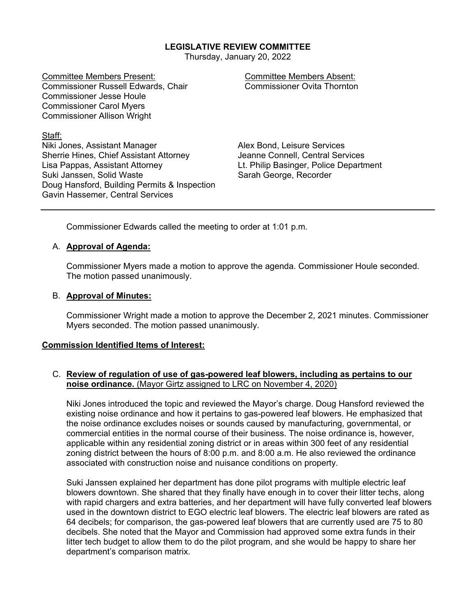## **LEGISLATIVE REVIEW COMMITTEE**

Thursday, January 20, 2022

Committee Members Present: Committee Members Absent: Commissioner Russell Edwards, Chair Commissioner Jesse Houle Commissioner Carol Myers Commissioner Allison Wright

Staff:

Niki Jones, Assistant Manager Alex Bond, Leisure Services Sherrie Hines, Chief Assistant Attorney Jeanne Connell, Central Services Lisa Pappas, Assistant Attorney Lt. Philip Basinger, Police Department Suki Janssen, Solid Waste Sarah George, Recorder Doug Hansford, Building Permits & Inspection Gavin Hassemer, Central Services

Commissioner Edwards called the meeting to order at 1:01 p.m.

## A. **Approval of Agenda:**

Commissioner Myers made a motion to approve the agenda. Commissioner Houle seconded. The motion passed unanimously.

## B. **Approval of Minutes:**

Commissioner Wright made a motion to approve the December 2, 2021 minutes. Commissioner Myers seconded. The motion passed unanimously.

## **Commission Identified Items of Interest:**

## C. **Review of regulation of use of gas-powered leaf blowers, including as pertains to our noise ordinance.** (Mayor Girtz assigned to LRC on November 4, 2020)

Niki Jones introduced the topic and reviewed the Mayor's charge. Doug Hansford reviewed the existing noise ordinance and how it pertains to gas-powered leaf blowers. He emphasized that the noise ordinance excludes noises or sounds caused by manufacturing, governmental, or commercial entities in the normal course of their business. The noise ordinance is, however, applicable within any residential zoning district or in areas within 300 feet of any residential zoning district between the hours of 8:00 p.m. and 8:00 a.m. He also reviewed the ordinance associated with construction noise and nuisance conditions on property.

Suki Janssen explained her department has done pilot programs with multiple electric leaf blowers downtown. She shared that they finally have enough in to cover their litter techs, along with rapid chargers and extra batteries, and her department will have fully converted leaf blowers used in the downtown district to EGO electric leaf blowers. The electric leaf blowers are rated as 64 decibels; for comparison, the gas-powered leaf blowers that are currently used are 75 to 80 decibels. She noted that the Mayor and Commission had approved some extra funds in their litter tech budget to allow them to do the pilot program, and she would be happy to share her department's comparison matrix.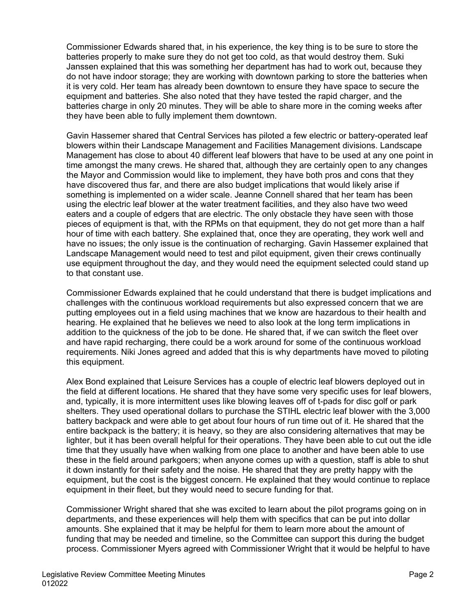Commissioner Edwards shared that, in his experience, the key thing is to be sure to store the batteries properly to make sure they do not get too cold, as that would destroy them. Suki Janssen explained that this was something her department has had to work out, because they do not have indoor storage; they are working with downtown parking to store the batteries when it is very cold. Her team has already been downtown to ensure they have space to secure the equipment and batteries. She also noted that they have tested the rapid charger, and the batteries charge in only 20 minutes. They will be able to share more in the coming weeks after they have been able to fully implement them downtown.

Gavin Hassemer shared that Central Services has piloted a few electric or battery-operated leaf blowers within their Landscape Management and Facilities Management divisions. Landscape Management has close to about 40 different leaf blowers that have to be used at any one point in time amongst the many crews. He shared that, although they are certainly open to any changes the Mayor and Commission would like to implement, they have both pros and cons that they have discovered thus far, and there are also budget implications that would likely arise if something is implemented on a wider scale. Jeanne Connell shared that her team has been using the electric leaf blower at the water treatment facilities, and they also have two weed eaters and a couple of edgers that are electric. The only obstacle they have seen with those pieces of equipment is that, with the RPMs on that equipment, they do not get more than a half hour of time with each battery. She explained that, once they are operating, they work well and have no issues; the only issue is the continuation of recharging. Gavin Hassemer explained that Landscape Management would need to test and pilot equipment, given their crews continually use equipment throughout the day, and they would need the equipment selected could stand up to that constant use.

Commissioner Edwards explained that he could understand that there is budget implications and challenges with the continuous workload requirements but also expressed concern that we are putting employees out in a field using machines that we know are hazardous to their health and hearing. He explained that he believes we need to also look at the long term implications in addition to the quickness of the job to be done. He shared that, if we can switch the fleet over and have rapid recharging, there could be a work around for some of the continuous workload requirements. Niki Jones agreed and added that this is why departments have moved to piloting this equipment.

Alex Bond explained that Leisure Services has a couple of electric leaf blowers deployed out in the field at different locations. He shared that they have some very specific uses for leaf blowers, and, typically, it is more intermittent uses like blowing leaves off of t-pads for disc golf or park shelters. They used operational dollars to purchase the STIHL electric leaf blower with the 3,000 battery backpack and were able to get about four hours of run time out of it. He shared that the entire backpack is the battery; it is heavy, so they are also considering alternatives that may be lighter, but it has been overall helpful for their operations. They have been able to cut out the idle time that they usually have when walking from one place to another and have been able to use these in the field around parkgoers; when anyone comes up with a question, staff is able to shut it down instantly for their safety and the noise. He shared that they are pretty happy with the equipment, but the cost is the biggest concern. He explained that they would continue to replace equipment in their fleet, but they would need to secure funding for that.

Commissioner Wright shared that she was excited to learn about the pilot programs going on in departments, and these experiences will help them with specifics that can be put into dollar amounts. She explained that it may be helpful for them to learn more about the amount of funding that may be needed and timeline, so the Committee can support this during the budget process. Commissioner Myers agreed with Commissioner Wright that it would be helpful to have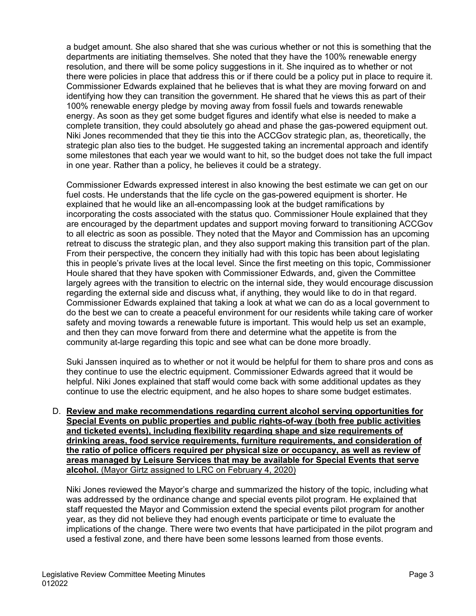a budget amount. She also shared that she was curious whether or not this is something that the departments are initiating themselves. She noted that they have the 100% renewable energy resolution, and there will be some policy suggestions in it. She inquired as to whether or not there were policies in place that address this or if there could be a policy put in place to require it. Commissioner Edwards explained that he believes that is what they are moving forward on and identifying how they can transition the government. He shared that he views this as part of their 100% renewable energy pledge by moving away from fossil fuels and towards renewable energy. As soon as they get some budget figures and identify what else is needed to make a complete transition, they could absolutely go ahead and phase the gas-powered equipment out. Niki Jones recommended that they tie this into the ACCGov strategic plan, as, theoretically, the strategic plan also ties to the budget. He suggested taking an incremental approach and identify some milestones that each year we would want to hit, so the budget does not take the full impact in one year. Rather than a policy, he believes it could be a strategy.

Commissioner Edwards expressed interest in also knowing the best estimate we can get on our fuel costs. He understands that the life cycle on the gas-powered equipment is shorter. He explained that he would like an all-encompassing look at the budget ramifications by incorporating the costs associated with the status quo. Commissioner Houle explained that they are encouraged by the department updates and support moving forward to transitioning ACCGov to all electric as soon as possible. They noted that the Mayor and Commission has an upcoming retreat to discuss the strategic plan, and they also support making this transition part of the plan. From their perspective, the concern they initially had with this topic has been about legislating this in people's private lives at the local level. Since the first meeting on this topic, Commissioner Houle shared that they have spoken with Commissioner Edwards, and, given the Committee largely agrees with the transition to electric on the internal side, they would encourage discussion regarding the external side and discuss what, if anything, they would like to do in that regard. Commissioner Edwards explained that taking a look at what we can do as a local government to do the best we can to create a peaceful environment for our residents while taking care of worker safety and moving towards a renewable future is important. This would help us set an example, and then they can move forward from there and determine what the appetite is from the community at-large regarding this topic and see what can be done more broadly.

Suki Janssen inquired as to whether or not it would be helpful for them to share pros and cons as they continue to use the electric equipment. Commissioner Edwards agreed that it would be helpful. Niki Jones explained that staff would come back with some additional updates as they continue to use the electric equipment, and he also hopes to share some budget estimates.

D. **Review and make recommendations regarding current alcohol serving opportunities for Special Events on public properties and public rights-of-way (both free public activities and ticketed events), including flexibility regarding shape and size requirements of drinking areas, food service requirements, furniture requirements, and consideration of the ratio of police officers required per physical size or occupancy, as well as review of areas managed by Leisure Services that may be available for Special Events that serve alcohol.** (Mayor Girtz assigned to LRC on February 4, 2020)

Niki Jones reviewed the Mayor's charge and summarized the history of the topic, including what was addressed by the ordinance change and special events pilot program. He explained that staff requested the Mayor and Commission extend the special events pilot program for another year, as they did not believe they had enough events participate or time to evaluate the implications of the change. There were two events that have participated in the pilot program and used a festival zone, and there have been some lessons learned from those events.